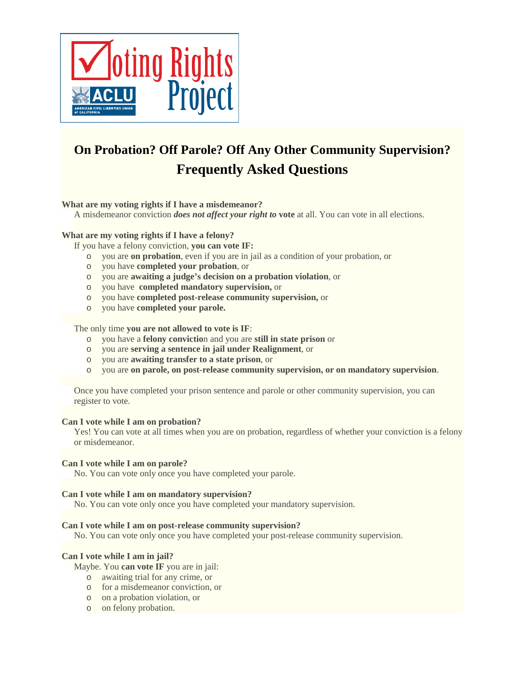

# **On Probation? Off Parole? Off Any Other Community Supervision? Frequently Asked Questions**

# **What are my voting rights if I have a misdemeanor?**

A misdemeanor conviction *does not affect your right to* **vote** at all. You can vote in all elections.

# **What are my voting rights if I have a felony?**

If you have a felony conviction, **you can vote IF:**

- o you are **on probation**, even if you are in jail as a condition of your probation, or
- o you have **completed your probation**, or
- o you are **awaiting a judge's decision on a probation violation**, or
- o you have **completed mandatory supervision,** or
- o you have **completed post-release community supervision,** or
- o you have **completed your parole.**

#### The only time **you are not allowed to vote is IF**:

- o you have a **felony convictio**n and you are **still in state prison** or
- o you are **serving a sentence in jail under Realignment**, or
- o you are **awaiting transfer to a state prison**, or
- o you are **on parole, on post-release community supervision, or on mandatory supervision**.

Once you have completed your prison sentence and parole or other community supervision, you can register to vote.

# **Can I vote while I am on probation?**

Yes! You can vote at all times when you are on probation, regardless of whether your conviction is a felony or misdemeanor.

#### **Can I vote while I am on parole?**

No. You can vote only once you have completed your parole.

#### **Can I vote while I am on mandatory supervision?**

No. You can vote only once you have completed your mandatory supervision.

#### **Can I vote while I am on post-release community supervision?**

No. You can vote only once you have completed your post-release community supervision.

# **Can I vote while I am in jail?**

Maybe. You **can vote IF** you are in jail:

- o awaiting trial for any crime, or
- o for a misdemeanor conviction, or
- o on a probation violation, or
- o on felony probation.